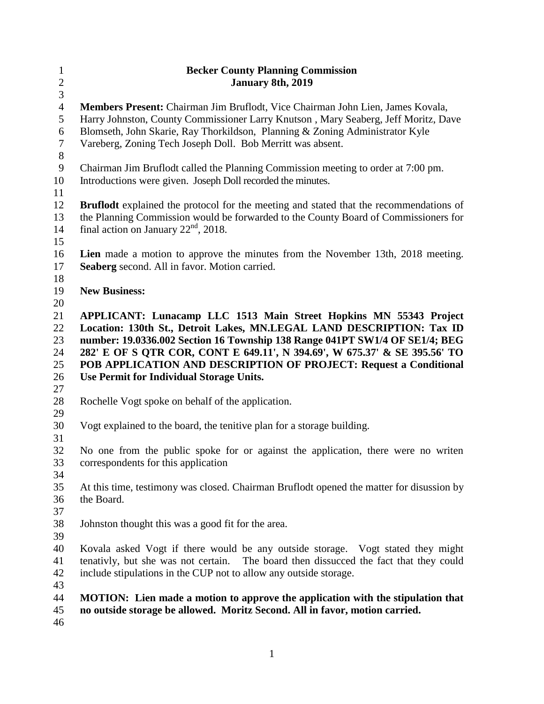| $\mathbf{1}$     | <b>Becker County Planning Commission</b>                                                      |
|------------------|-----------------------------------------------------------------------------------------------|
| $\overline{c}$   | January 8th, 2019                                                                             |
| 3                |                                                                                               |
| $\overline{4}$   | Members Present: Chairman Jim Bruflodt, Vice Chairman John Lien, James Kovala,                |
| 5                | Harry Johnston, County Commissioner Larry Knutson, Mary Seaberg, Jeff Moritz, Dave            |
| $\boldsymbol{6}$ | Blomseth, John Skarie, Ray Thorkildson, Planning & Zoning Administrator Kyle                  |
| $\tau$<br>$8\,$  | Vareberg, Zoning Tech Joseph Doll. Bob Merritt was absent.                                    |
| $\mathbf{9}$     | Chairman Jim Bruflodt called the Planning Commission meeting to order at 7:00 pm.             |
| 10<br>11         | Introductions were given. Joseph Doll recorded the minutes.                                   |
| 12               | <b>Bruflodt</b> explained the protocol for the meeting and stated that the recommendations of |
| 13               | the Planning Commission would be forwarded to the County Board of Commissioners for           |
| 14               | final action on January $22nd$ , 2018.                                                        |
| 15<br>16         | Lien made a motion to approve the minutes from the November 13th, 2018 meeting.               |
| 17               | Seaberg second. All in favor. Motion carried.                                                 |
| 18               |                                                                                               |
| 19               | <b>New Business:</b>                                                                          |
| 20               |                                                                                               |
| 21               | APPLICANT: Lunacamp LLC 1513 Main Street Hopkins MN 55343 Project                             |
| 22               | Location: 130th St., Detroit Lakes, MN.LEGAL LAND DESCRIPTION: Tax ID                         |
| 23               | number: 19.0336.002 Section 16 Township 138 Range 041PT SW1/4 OF SE1/4; BEG                   |
| 24               | 282' E OF S QTR COR, CONT E 649.11', N 394.69', W 675.37' & SE 395.56' TO                     |
| 25               | POB APPLICATION AND DESCRIPTION OF PROJECT: Request a Conditional                             |
| 26               | Use Permit for Individual Storage Units.                                                      |
| 27               |                                                                                               |
| 28               | Rochelle Vogt spoke on behalf of the application.                                             |
| 29               |                                                                                               |
| 30               | Vogt explained to the board, the tenitive plan for a storage building.                        |
| 31               |                                                                                               |
| 32               | No one from the public spoke for or against the application, there were no writen             |
| 33               | correspondents for this application                                                           |
| 34               |                                                                                               |
| 35               | At this time, testimony was closed. Chairman Bruflodt opened the matter for disussion by      |
| 36               | the Board.                                                                                    |
| 37               |                                                                                               |
| 38               | Johnston thought this was a good fit for the area.                                            |
| 39<br>40         | Kovala asked Vogt if there would be any outside storage. Vogt stated they might               |
| 41               | The board then dissucced the fact that they could<br>tenativly, but she was not certain.      |
| 42               | include stipulations in the CUP not to allow any outside storage.                             |
| 43               |                                                                                               |
| 44               | <b>MOTION:</b> Lien made a motion to approve the application with the stipulation that        |
| 45               | no outside storage be allowed. Moritz Second. All in favor, motion carried.                   |
| 46               |                                                                                               |
|                  |                                                                                               |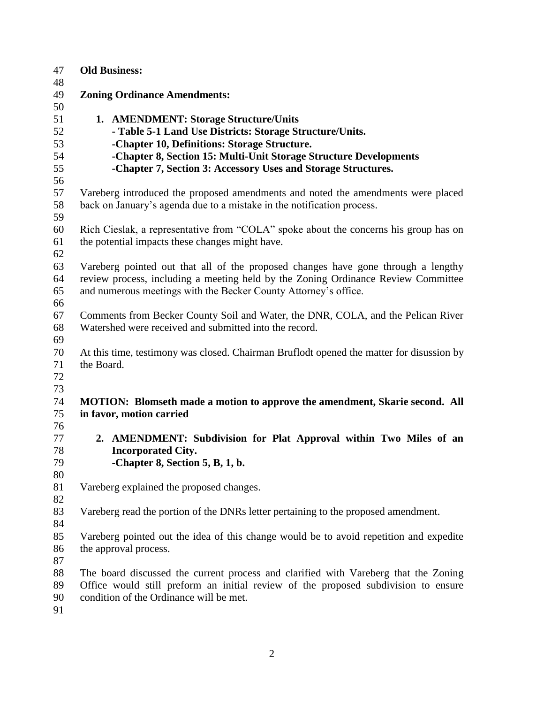| 47 | <b>Old Business:</b>                                                                     |  |
|----|------------------------------------------------------------------------------------------|--|
| 48 |                                                                                          |  |
| 49 | <b>Zoning Ordinance Amendments:</b>                                                      |  |
| 50 |                                                                                          |  |
| 51 | 1. AMENDMENT: Storage Structure/Units                                                    |  |
| 52 | - Table 5-1 Land Use Districts: Storage Structure/Units.                                 |  |
| 53 | -Chapter 10, Definitions: Storage Structure.                                             |  |
| 54 | -Chapter 8, Section 15: Multi-Unit Storage Structure Developments                        |  |
| 55 | -Chapter 7, Section 3: Accessory Uses and Storage Structures.                            |  |
| 56 |                                                                                          |  |
| 57 | Vareberg introduced the proposed amendments and noted the amendments were placed         |  |
| 58 | back on January's agenda due to a mistake in the notification process.                   |  |
| 59 |                                                                                          |  |
| 60 | Rich Cieslak, a representative from "COLA" spoke about the concerns his group has on     |  |
| 61 | the potential impacts these changes might have.                                          |  |
| 62 |                                                                                          |  |
| 63 | Vareberg pointed out that all of the proposed changes have gone through a lengthy        |  |
| 64 | review process, including a meeting held by the Zoning Ordinance Review Committee        |  |
| 65 | and numerous meetings with the Becker County Attorney's office.                          |  |
| 66 |                                                                                          |  |
| 67 | Comments from Becker County Soil and Water, the DNR, COLA, and the Pelican River         |  |
| 68 | Watershed were received and submitted into the record.                                   |  |
| 69 |                                                                                          |  |
| 70 | At this time, testimony was closed. Chairman Bruflodt opened the matter for disussion by |  |
| 71 | the Board.                                                                               |  |
| 72 |                                                                                          |  |
| 73 |                                                                                          |  |
| 74 | <b>MOTION:</b> Blomseth made a motion to approve the amendment, Skarie second. All       |  |
| 75 | in favor, motion carried                                                                 |  |
| 76 |                                                                                          |  |
| 77 | 2. AMENDMENT: Subdivision for Plat Approval within Two Miles of an                       |  |
| 78 | <b>Incorporated City.</b>                                                                |  |
| 79 | -Chapter $8$ , Section $5$ , $B$ , $1$ , $b$ .                                           |  |
| 80 |                                                                                          |  |
| 81 | Vareberg explained the proposed changes.                                                 |  |
| 82 |                                                                                          |  |
| 83 | Vareberg read the portion of the DNRs letter pertaining to the proposed amendment.       |  |
| 84 |                                                                                          |  |
| 85 | Vareberg pointed out the idea of this change would be to avoid repetition and expedite   |  |
| 86 | the approval process.                                                                    |  |
| 87 |                                                                                          |  |
| 88 | The board discussed the current process and clarified with Vareberg that the Zoning      |  |
| 89 | Office would still preform an initial review of the proposed subdivision to ensure       |  |
| 90 | condition of the Ordinance will be met.                                                  |  |
| 91 |                                                                                          |  |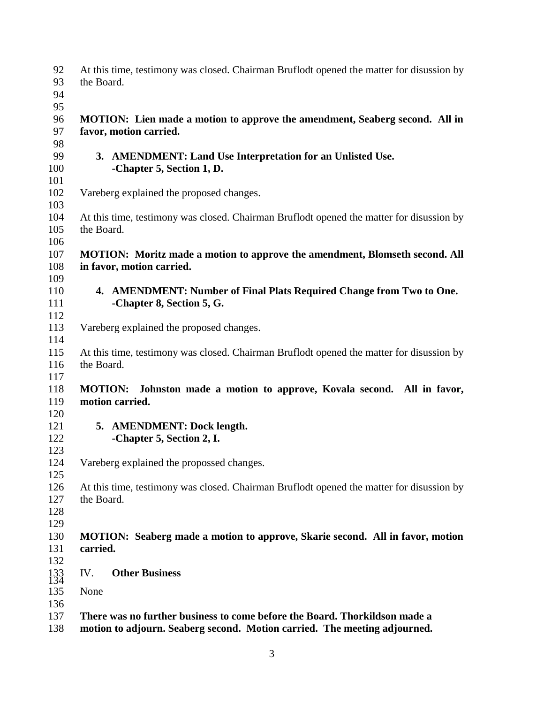| 92                | At this time, testimony was closed. Chairman Bruflodt opened the matter for disussion by |
|-------------------|------------------------------------------------------------------------------------------|
| 93                | the Board.                                                                               |
| 94                |                                                                                          |
| 95                |                                                                                          |
| 96                | MOTION: Lien made a motion to approve the amendment, Seaberg second. All in              |
| 97                | favor, motion carried.                                                                   |
| 98                |                                                                                          |
| 99                | 3. AMENDMENT: Land Use Interpretation for an Unlisted Use.                               |
| 100               | -Chapter 5, Section 1, D.                                                                |
| 101               |                                                                                          |
| 102               | Vareberg explained the proposed changes.                                                 |
| 103               |                                                                                          |
| 104               | At this time, testimony was closed. Chairman Bruflodt opened the matter for disussion by |
| 105               | the Board.                                                                               |
| 106               |                                                                                          |
| 107               | MOTION: Moritz made a motion to approve the amendment, Blomseth second. All              |
| 108               | in favor, motion carried.                                                                |
| 109               |                                                                                          |
| 110               | 4. AMENDMENT: Number of Final Plats Required Change from Two to One.                     |
| 111               | -Chapter 8, Section 5, G.                                                                |
| 112               |                                                                                          |
| 113               | Vareberg explained the proposed changes.                                                 |
| 114               |                                                                                          |
| 115               | At this time, testimony was closed. Chairman Bruflodt opened the matter for disussion by |
| 116               | the Board.                                                                               |
| 117               |                                                                                          |
| 118               | MOTION: Johnston made a motion to approve, Kovala second. All in favor,                  |
| 119               | motion carried.                                                                          |
| 120<br>121        | 5. AMENDMENT: Dock length.                                                               |
| 122               | -Chapter 5, Section 2, I.                                                                |
| 123               |                                                                                          |
| 124               | Vareberg explained the propossed changes.                                                |
| 125               |                                                                                          |
| 126               | At this time, testimony was closed. Chairman Bruflodt opened the matter for disussion by |
| 127               | the Board.                                                                               |
| 128               |                                                                                          |
| 129               |                                                                                          |
| 130               | MOTION: Seaberg made a motion to approve, Skarie second. All in favor, motion            |
| 131               | carried.                                                                                 |
| 132               |                                                                                          |
|                   | <b>Other Business</b><br>IV.                                                             |
| $\frac{133}{134}$ |                                                                                          |
| 135               | None                                                                                     |
| 136               |                                                                                          |
| 137               | There was no further business to come before the Board. Thorkildson made a               |
| 138               | motion to adjourn. Seaberg second. Motion carried. The meeting adjourned.                |